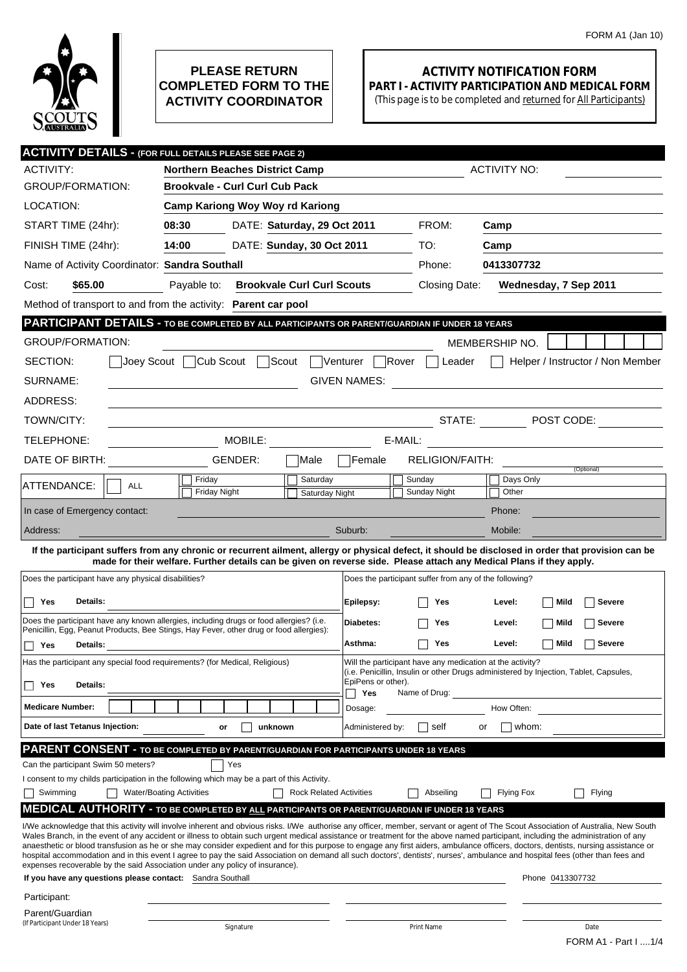

## **PLEASE RETURN COMPLETED FORM TO THE ACTIVITY COORDINATOR**

## **ACTIVITY NOTIFICATION FORM PART I - ACTIVITY PARTICIPATION AND MEDICAL FORM**

(This page is to be completed and returned for All Participants)

| <b>ACTIVITY DETAILS - (FOR FULL DETAILS PLEASE SEE PAGE 2)</b>                                                                                                                                                                                                                                                                                                         |                                                                                                                                                                                                                                                                             |                                                           |                           |                                                                                       |                   |                                                   |  |
|------------------------------------------------------------------------------------------------------------------------------------------------------------------------------------------------------------------------------------------------------------------------------------------------------------------------------------------------------------------------|-----------------------------------------------------------------------------------------------------------------------------------------------------------------------------------------------------------------------------------------------------------------------------|-----------------------------------------------------------|---------------------------|---------------------------------------------------------------------------------------|-------------------|---------------------------------------------------|--|
| <b>ACTIVITY:</b>                                                                                                                                                                                                                                                                                                                                                       | <b>Northern Beaches District Camp</b>                                                                                                                                                                                                                                       |                                                           |                           | <b>ACTIVITY NO:</b>                                                                   |                   |                                                   |  |
| <b>GROUP/FORMATION:</b>                                                                                                                                                                                                                                                                                                                                                | <b>Brookvale - Curl Curl Cub Pack</b>                                                                                                                                                                                                                                       |                                                           |                           |                                                                                       |                   |                                                   |  |
| LOCATION:                                                                                                                                                                                                                                                                                                                                                              | <b>Camp Kariong Woy Woy rd Kariong</b>                                                                                                                                                                                                                                      |                                                           |                           |                                                                                       |                   |                                                   |  |
| START TIME (24hr):                                                                                                                                                                                                                                                                                                                                                     | 08:30<br>DATE: Saturday, 29 Oct 2011                                                                                                                                                                                                                                        |                                                           |                           | FROM:                                                                                 | Camp              |                                                   |  |
| FINISH TIME (24hr):                                                                                                                                                                                                                                                                                                                                                    | 14:00<br>DATE: Sunday, 30 Oct 2011                                                                                                                                                                                                                                          |                                                           |                           | TO:                                                                                   | Camp              |                                                   |  |
| Name of Activity Coordinator: Sandra Southall                                                                                                                                                                                                                                                                                                                          |                                                                                                                                                                                                                                                                             |                                                           |                           | Phone:                                                                                | 0413307732        |                                                   |  |
| \$65.00<br>Cost:                                                                                                                                                                                                                                                                                                                                                       | <b>Brookvale Curl Curl Scouts</b><br>Payable to:                                                                                                                                                                                                                            |                                                           |                           | Closing Date:                                                                         |                   | Wednesday, 7 Sep 2011                             |  |
| Method of transport to and from the activity: Parent car pool                                                                                                                                                                                                                                                                                                          |                                                                                                                                                                                                                                                                             |                                                           |                           |                                                                                       |                   |                                                   |  |
| <b>PARTICIPANT DETAILS - TO BE COMPLETED BY ALL PARTICIPANTS OR PARENT/GUARDIAN IF UNDER 18 YEARS</b>                                                                                                                                                                                                                                                                  |                                                                                                                                                                                                                                                                             |                                                           |                           |                                                                                       |                   |                                                   |  |
| <b>GROUP/FORMATION:</b>                                                                                                                                                                                                                                                                                                                                                |                                                                                                                                                                                                                                                                             |                                                           |                           |                                                                                       | MEMBERSHIP NO.    |                                                   |  |
| Cub Scout<br>Scout<br>Venturer<br>SECTION:<br>Joev Scout<br> Rover<br>Helper / Instructor / Non Member<br>Leader                                                                                                                                                                                                                                                       |                                                                                                                                                                                                                                                                             |                                                           |                           |                                                                                       |                   |                                                   |  |
| SURNAME:<br><b>GIVEN NAMES:</b>                                                                                                                                                                                                                                                                                                                                        |                                                                                                                                                                                                                                                                             |                                                           |                           |                                                                                       |                   |                                                   |  |
| ADDRESS:                                                                                                                                                                                                                                                                                                                                                               |                                                                                                                                                                                                                                                                             |                                                           |                           |                                                                                       |                   |                                                   |  |
| TOWN/CITY:                                                                                                                                                                                                                                                                                                                                                             |                                                                                                                                                                                                                                                                             |                                                           |                           | STATE:                                                                                |                   | $\boxed{\blacksquare}$ POST CODE:                 |  |
| TELEPHONE:                                                                                                                                                                                                                                                                                                                                                             | MOBILE:                                                                                                                                                                                                                                                                     |                                                           |                           | E-MAIL:                                                                               |                   | <u> 1980 - Andrea State Barbara, amerikan per</u> |  |
| DATE OF BIRTH:                                                                                                                                                                                                                                                                                                                                                         | GENDER:                                                                                                                                                                                                                                                                     | Male                                                      | Female                    | <b>RELIGION/FAITH:</b>                                                                |                   |                                                   |  |
| ATTENDANCE:<br><b>ALL</b>                                                                                                                                                                                                                                                                                                                                              | Friday                                                                                                                                                                                                                                                                      | Saturday                                                  |                           | Sunday                                                                                | Days Only         | (Optional)                                        |  |
|                                                                                                                                                                                                                                                                                                                                                                        | <b>Friday Night</b>                                                                                                                                                                                                                                                         | Saturday Night                                            |                           | Sunday Night                                                                          | Other             |                                                   |  |
| In case of Emergency contact:                                                                                                                                                                                                                                                                                                                                          |                                                                                                                                                                                                                                                                             |                                                           |                           |                                                                                       | Phone:            |                                                   |  |
| Address:                                                                                                                                                                                                                                                                                                                                                               |                                                                                                                                                                                                                                                                             |                                                           | Suburb:                   |                                                                                       | Mobile:           |                                                   |  |
|                                                                                                                                                                                                                                                                                                                                                                        | If the participant suffers from any chronic or recurrent ailment, allergy or physical defect, it should be disclosed in order that provision can be<br>made for their welfare. Further details can be given on reverse side. Please attach any Medical Plans if they apply. |                                                           |                           |                                                                                       |                   |                                                   |  |
| Does the participant have any physical disabilities?                                                                                                                                                                                                                                                                                                                   |                                                                                                                                                                                                                                                                             |                                                           |                           | Does the participant suffer from any of the following?                                |                   |                                                   |  |
| Details:<br>Yes                                                                                                                                                                                                                                                                                                                                                        |                                                                                                                                                                                                                                                                             |                                                           | Epilepsy:                 | Yes                                                                                   | Level:            | Mild<br><b>Severe</b>                             |  |
|                                                                                                                                                                                                                                                                                                                                                                        |                                                                                                                                                                                                                                                                             |                                                           |                           |                                                                                       |                   |                                                   |  |
| Does the participant have any known allergies, including drugs or food allergies? (i.e.<br>Penicillin, Egg, Peanut Products, Bee Stings, Hay Fever, other drug or food allergies):                                                                                                                                                                                     |                                                                                                                                                                                                                                                                             |                                                           | Diabetes:                 | Yes                                                                                   | Level:            | <b>Severe</b><br>Mild                             |  |
| Yes<br><b>Details:</b>                                                                                                                                                                                                                                                                                                                                                 |                                                                                                                                                                                                                                                                             |                                                           | Asthma:                   | Yes                                                                                   | Level:            | <b>Severe</b><br>  Mild                           |  |
| Has the participant any special food requirements? (for Medical, Religious)                                                                                                                                                                                                                                                                                            |                                                                                                                                                                                                                                                                             | Will the participant have any medication at the activity? |                           | (i.e. Penicillin, Insulin or other Drugs administered by Injection, Tablet, Capsules, |                   |                                                   |  |
| Details:<br>Yes                                                                                                                                                                                                                                                                                                                                                        |                                                                                                                                                                                                                                                                             |                                                           | EpiPens or other).<br>Yes | Name of Drug:                                                                         |                   |                                                   |  |
| <b>Medicare Number:</b>                                                                                                                                                                                                                                                                                                                                                |                                                                                                                                                                                                                                                                             |                                                           | Dosage:                   |                                                                                       | How Often:        |                                                   |  |
| Date of last Tetanus Injection:                                                                                                                                                                                                                                                                                                                                        | unknown<br>or                                                                                                                                                                                                                                                               |                                                           | Administered by:          | self                                                                                  | whom:<br>or       |                                                   |  |
| PARENT CONSENT - TO BE COMPLETED BY PARENT/GUARDIAN FOR PARTICIPANTS UNDER 18 YEARS                                                                                                                                                                                                                                                                                    |                                                                                                                                                                                                                                                                             |                                                           |                           |                                                                                       |                   |                                                   |  |
| Can the participant Swim 50 meters?                                                                                                                                                                                                                                                                                                                                    | Yes                                                                                                                                                                                                                                                                         |                                                           |                           |                                                                                       |                   |                                                   |  |
| I consent to my childs participation in the following which may be a part of this Activity.                                                                                                                                                                                                                                                                            | <b>Water/Boating Activities</b>                                                                                                                                                                                                                                             | <b>Rock Related Activities</b>                            |                           |                                                                                       |                   |                                                   |  |
| Swimming<br><b>MEDICAL AUTHORITY - TO BE COMPLETED BY ALL PARTICIPANTS OR PARENT/GUARDIAN IF UNDER 18 YEARS</b>                                                                                                                                                                                                                                                        |                                                                                                                                                                                                                                                                             |                                                           |                           | Abseiling                                                                             | <b>Flying Fox</b> | Flying                                            |  |
| I/We acknowledge that this activity will involve inherent and obvious risks. I/We authorise any officer, member, servant or agent of The Scout Association of Australia, New South                                                                                                                                                                                     |                                                                                                                                                                                                                                                                             |                                                           |                           |                                                                                       |                   |                                                   |  |
| Wales Branch, in the event of any accident or illness to obtain such urgent medical assistance or treatment for the above named participant, including the administration of any<br>anaesthetic or blood transfusion as he or she may consider expedient and for this purpose to engage any first aiders, ambulance officers, doctors, dentists, nursing assistance or |                                                                                                                                                                                                                                                                             |                                                           |                           |                                                                                       |                   |                                                   |  |
| hospital accommodation and in this event I agree to pay the said Association on demand all such doctors', dentists', nurses', ambulance and hospital fees (other than fees and<br>expenses recoverable by the said Association under any policy of insurance).                                                                                                         |                                                                                                                                                                                                                                                                             |                                                           |                           |                                                                                       |                   |                                                   |  |
| If you have any questions please contact: Sandra Southall                                                                                                                                                                                                                                                                                                              |                                                                                                                                                                                                                                                                             |                                                           |                           |                                                                                       |                   | Phone 0413307732                                  |  |
| Participant:                                                                                                                                                                                                                                                                                                                                                           |                                                                                                                                                                                                                                                                             |                                                           |                           |                                                                                       |                   |                                                   |  |
| Parent/Guardian<br>(If Participant Under 18 Years)                                                                                                                                                                                                                                                                                                                     |                                                                                                                                                                                                                                                                             |                                                           |                           |                                                                                       |                   |                                                   |  |
|                                                                                                                                                                                                                                                                                                                                                                        | Signature                                                                                                                                                                                                                                                                   |                                                           |                           | Print Name                                                                            |                   | Date<br>FORM A1 - Part I 1/4                      |  |